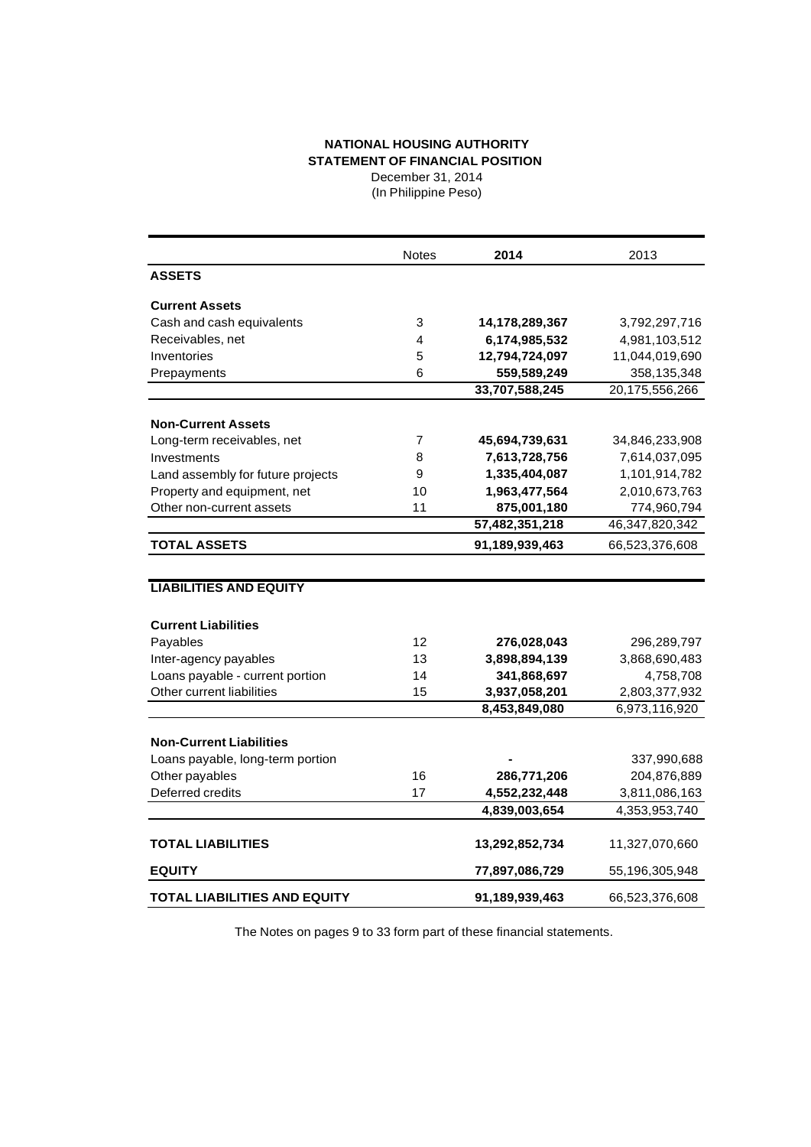## **NATIONAL HOUSING AUTHORITY STATEMENT OF FINANCIAL POSITION** December 31, 2014

(In Philippine Peso)

|                                     | <b>Notes</b> | 2014           | 2013           |
|-------------------------------------|--------------|----------------|----------------|
| <b>ASSETS</b>                       |              |                |                |
| <b>Current Assets</b>               |              |                |                |
| Cash and cash equivalents           | 3            | 14,178,289,367 | 3,792,297,716  |
| Receivables, net                    | 4            | 6,174,985,532  | 4,981,103,512  |
| Inventories                         | 5            | 12,794,724,097 | 11,044,019,690 |
| Prepayments                         | 6            | 559,589,249    | 358,135,348    |
|                                     |              | 33,707,588,245 | 20,175,556,266 |
| <b>Non-Current Assets</b>           |              |                |                |
| Long-term receivables, net          | 7            | 45,694,739,631 | 34,846,233,908 |
|                                     | 8            |                |                |
| Investments                         |              | 7,613,728,756  | 7,614,037,095  |
| Land assembly for future projects   | 9            | 1,335,404,087  | 1,101,914,782  |
| Property and equipment, net         | 10           | 1,963,477,564  | 2,010,673,763  |
| Other non-current assets            | 11           | 875,001,180    | 774,960,794    |
|                                     |              | 57,482,351,218 | 46,347,820,342 |
| <b>TOTAL ASSETS</b>                 |              | 91,189,939,463 | 66,523,376,608 |
|                                     |              |                |                |
| <b>LIABILITIES AND EQUITY</b>       |              |                |                |
| <b>Current Liabilities</b>          |              |                |                |
| Payables                            | 12           | 276,028,043    | 296,289,797    |
| Inter-agency payables               | 13           | 3,898,894,139  | 3,868,690,483  |
| Loans payable - current portion     | 14           | 341,868,697    | 4,758,708      |
| Other current liabilities           | 15           | 3,937,058,201  | 2,803,377,932  |
|                                     |              | 8,453,849,080  | 6,973,116,920  |
|                                     |              |                |                |
| <b>Non-Current Liabilities</b>      |              |                |                |
| Loans payable, long-term portion    |              |                | 337,990,688    |
| Other payables                      | 16           | 286,771,206    | 204,876,889    |
| Deferred credits                    | 17           | 4,552,232,448  | 3,811,086,163  |
|                                     |              | 4,839,003,654  | 4,353,953,740  |
|                                     |              |                |                |
| <b>TOTAL LIABILITIES</b>            |              | 13,292,852,734 | 11,327,070,660 |
| <b>EQUITY</b>                       |              | 77,897,086,729 | 55,196,305,948 |
| <b>TOTAL LIABILITIES AND EQUITY</b> |              | 91,189,939,463 | 66,523,376,608 |

The Notes on pages 9 to 33 form part of these financial statements.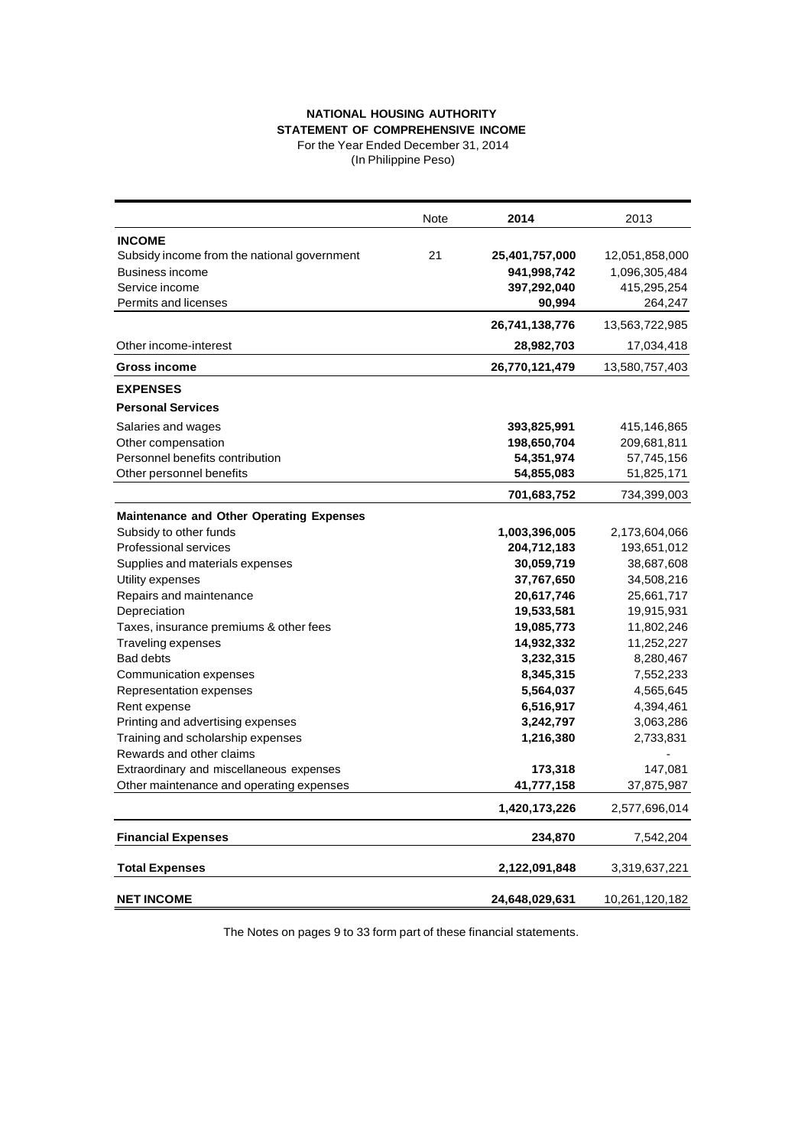## **NATIONAL HOUSING AUTHORITY STATEMENT OF COMPREHENSIVE INCOME**

For the Year Ended December 31, 2014 (In Philippine Peso)

|                                                 | Note | 2014           | 2013           |
|-------------------------------------------------|------|----------------|----------------|
| <b>INCOME</b>                                   |      |                |                |
| Subsidy income from the national government     | 21   | 25,401,757,000 | 12,051,858,000 |
| Business income                                 |      | 941,998,742    | 1,096,305,484  |
| Service income                                  |      | 397,292,040    | 415,295,254    |
| Permits and licenses                            |      | 90,994         | 264,247        |
|                                                 |      | 26,741,138,776 | 13,563,722,985 |
| Other income-interest                           |      | 28,982,703     | 17,034,418     |
| <b>Gross income</b>                             |      | 26,770,121,479 | 13,580,757,403 |
| <b>EXPENSES</b>                                 |      |                |                |
| <b>Personal Services</b>                        |      |                |                |
| Salaries and wages                              |      | 393,825,991    | 415,146,865    |
| Other compensation                              |      | 198,650,704    | 209,681,811    |
| Personnel benefits contribution                 |      | 54,351,974     | 57,745,156     |
| Other personnel benefits                        |      | 54,855,083     | 51,825,171     |
|                                                 |      | 701,683,752    | 734,399,003    |
| <b>Maintenance and Other Operating Expenses</b> |      |                |                |
| Subsidy to other funds                          |      | 1,003,396,005  | 2,173,604,066  |
| <b>Professional services</b>                    |      | 204,712,183    | 193,651,012    |
| Supplies and materials expenses                 |      | 30,059,719     | 38,687,608     |
| Utility expenses                                |      | 37,767,650     | 34,508,216     |
| Repairs and maintenance                         |      | 20,617,746     | 25,661,717     |
| Depreciation                                    |      | 19,533,581     | 19,915,931     |
| Taxes, insurance premiums & other fees          |      | 19,085,773     | 11,802,246     |
| Traveling expenses                              |      | 14,932,332     | 11,252,227     |
| <b>Bad debts</b>                                |      | 3,232,315      | 8,280,467      |
| Communication expenses                          |      | 8,345,315      | 7,552,233      |
| Representation expenses                         |      | 5,564,037      | 4,565,645      |
| Rent expense                                    |      | 6,516,917      | 4,394,461      |
| Printing and advertising expenses               |      | 3,242,797      | 3,063,286      |
| Training and scholarship expenses               |      | 1,216,380      | 2,733,831      |
| Rewards and other claims                        |      |                |                |
| Extraordinary and miscellaneous expenses        |      | 173,318        | 147,081        |
| Other maintenance and operating expenses        |      | 41,777,158     | 37,875,987     |
|                                                 |      | 1,420,173,226  | 2,577,696,014  |
| <b>Financial Expenses</b>                       |      | 234,870        | 7,542,204      |
| <b>Total Expenses</b>                           |      | 2,122,091,848  | 3,319,637,221  |
| <b>NET INCOME</b>                               |      | 24,648,029,631 | 10,261,120,182 |

The Notes on pages 9 to 33 form part of these financial statements.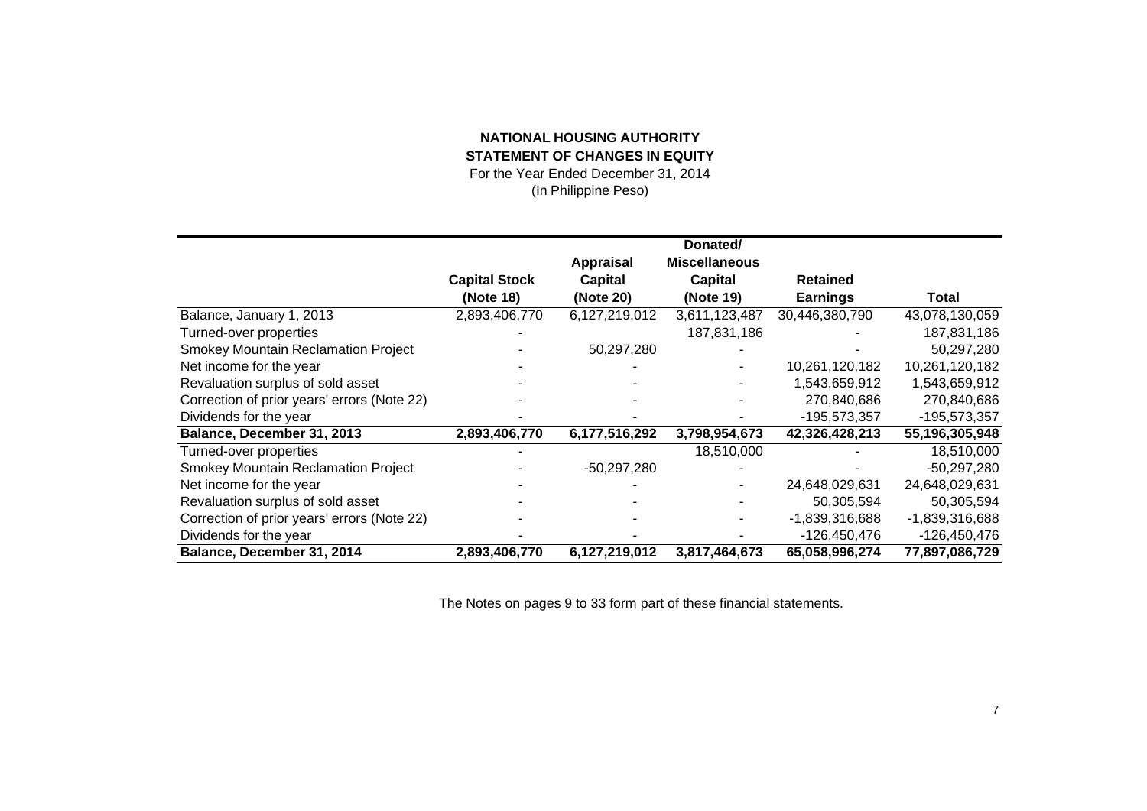## **NATIONAL HOUSING AUTHORITY STATEMENT OF CHANGES IN EQUITY**

For the Year Ended December 31, 2014 (In Philippine Peso)

|                                             |                      |                  | Donated/             |                 |                |
|---------------------------------------------|----------------------|------------------|----------------------|-----------------|----------------|
|                                             |                      | <b>Appraisal</b> | <b>Miscellaneous</b> |                 |                |
|                                             |                      |                  |                      |                 |                |
|                                             | <b>Capital Stock</b> | <b>Capital</b>   | Capital              | <b>Retained</b> |                |
|                                             | (Note 18)            | (Note 20)        | (Note 19)            | <b>Earnings</b> | Total          |
| Balance, January 1, 2013                    | 2,893,406,770        | 6,127,219,012    | 3,611,123,487        | 30,446,380,790  | 43,078,130,059 |
| Turned-over properties                      |                      |                  | 187,831,186          |                 | 187,831,186    |
| <b>Smokey Mountain Reclamation Project</b>  |                      | 50,297,280       |                      |                 | 50,297,280     |
| Net income for the year                     |                      |                  |                      | 10,261,120,182  | 10,261,120,182 |
| Revaluation surplus of sold asset           |                      |                  |                      | 1,543,659,912   | 1,543,659,912  |
| Correction of prior years' errors (Note 22) |                      |                  |                      | 270,840,686     | 270,840,686    |
| Dividends for the year                      |                      |                  |                      | -195,573,357    | -195,573,357   |
| Balance, December 31, 2013                  | 2,893,406,770        | 6,177,516,292    | 3,798,954,673        | 42,326,428,213  | 55,196,305,948 |
| Turned-over properties                      |                      |                  | 18,510,000           |                 | 18,510,000     |
| <b>Smokey Mountain Reclamation Project</b>  |                      | -50,297,280      |                      |                 | $-50,297,280$  |
| Net income for the year                     |                      |                  |                      | 24,648,029,631  | 24,648,029,631 |
| Revaluation surplus of sold asset           |                      |                  |                      | 50,305,594      | 50,305,594     |
| Correction of prior years' errors (Note 22) |                      |                  |                      | -1,839,316,688  | -1,839,316,688 |
| Dividends for the year                      |                      |                  |                      | -126,450,476    | -126,450,476   |
| Balance, December 31, 2014                  | 2,893,406,770        | 6,127,219,012    | 3,817,464,673        | 65,058,996,274  | 77,897,086,729 |

The Notes on pages 9 to 33 form part of these financial statements.